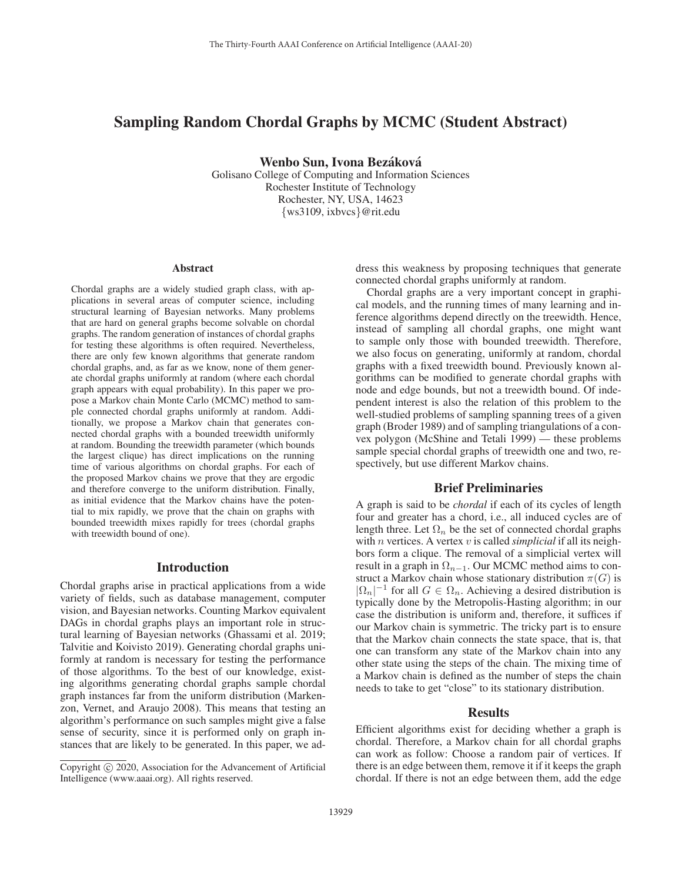# Sampling Random Chordal Graphs by MCMC (Student Abstract)

Wenbo Sun, Ivona Bezáková

Golisano College of Computing and Information Sciences Rochester Institute of Technology Rochester, NY, USA, 14623 {ws3109, ixbvcs}@rit.edu

#### Abstract

Chordal graphs are a widely studied graph class, with applications in several areas of computer science, including structural learning of Bayesian networks. Many problems that are hard on general graphs become solvable on chordal graphs. The random generation of instances of chordal graphs for testing these algorithms is often required. Nevertheless, there are only few known algorithms that generate random chordal graphs, and, as far as we know, none of them generate chordal graphs uniformly at random (where each chordal graph appears with equal probability). In this paper we propose a Markov chain Monte Carlo (MCMC) method to sample connected chordal graphs uniformly at random. Additionally, we propose a Markov chain that generates connected chordal graphs with a bounded treewidth uniformly at random. Bounding the treewidth parameter (which bounds the largest clique) has direct implications on the running time of various algorithms on chordal graphs. For each of the proposed Markov chains we prove that they are ergodic and therefore converge to the uniform distribution. Finally, as initial evidence that the Markov chains have the potential to mix rapidly, we prove that the chain on graphs with bounded treewidth mixes rapidly for trees (chordal graphs with treewidth bound of one).

## Introduction

Chordal graphs arise in practical applications from a wide variety of fields, such as database management, computer vision, and Bayesian networks. Counting Markov equivalent DAGs in chordal graphs plays an important role in structural learning of Bayesian networks (Ghassami et al. 2019; Talvitie and Koivisto 2019). Generating chordal graphs uniformly at random is necessary for testing the performance of those algorithms. To the best of our knowledge, existing algorithms generating chordal graphs sample chordal graph instances far from the uniform distribution (Markenzon, Vernet, and Araujo 2008). This means that testing an algorithm's performance on such samples might give a false sense of security, since it is performed only on graph instances that are likely to be generated. In this paper, we address this weakness by proposing techniques that generate connected chordal graphs uniformly at random.

Chordal graphs are a very important concept in graphical models, and the running times of many learning and inference algorithms depend directly on the treewidth. Hence, instead of sampling all chordal graphs, one might want to sample only those with bounded treewidth. Therefore, we also focus on generating, uniformly at random, chordal graphs with a fixed treewidth bound. Previously known algorithms can be modified to generate chordal graphs with node and edge bounds, but not a treewidth bound. Of independent interest is also the relation of this problem to the well-studied problems of sampling spanning trees of a given graph (Broder 1989) and of sampling triangulations of a convex polygon (McShine and Tetali 1999) — these problems sample special chordal graphs of treewidth one and two, respectively, but use different Markov chains.

### Brief Preliminaries

A graph is said to be *chordal* if each of its cycles of length four and greater has a chord, i.e., all induced cycles are of length three. Let  $\Omega_n$  be the set of connected chordal graphs with n vertices. A vertex v is called *simplicial* if all its neighbors form a clique. The removal of a simplicial vertex will result in a graph in  $\Omega_{n-1}$ . Our MCMC method aims to construct a Markov chain whose stationary distribution  $\pi(G)$  is  $|\Omega_n|^{-1}$  for all  $G \in \Omega_n$ . Achieving a desired distribution is typically done by the Metropolis-Hasting algorithm: in our typically done by the Metropolis-Hasting algorithm; in our case the distribution is uniform and, therefore, it suffices if our Markov chain is symmetric. The tricky part is to ensure that the Markov chain connects the state space, that is, that one can transform any state of the Markov chain into any other state using the steps of the chain. The mixing time of a Markov chain is defined as the number of steps the chain needs to take to get "close" to its stationary distribution.

## Results

Efficient algorithms exist for deciding whether a graph is chordal. Therefore, a Markov chain for all chordal graphs can work as follow: Choose a random pair of vertices. If there is an edge between them, remove it if it keeps the graph chordal. If there is not an edge between them, add the edge

Copyright  $\odot$  2020, Association for the Advancement of Artificial Intelligence (www.aaai.org). All rights reserved.